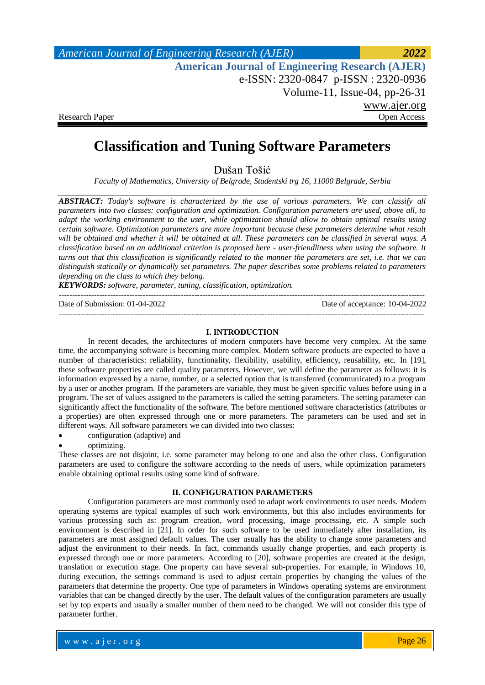| American Journal of Engineering Research (AJER)        | 2022         |
|--------------------------------------------------------|--------------|
| <b>American Journal of Engineering Research (AJER)</b> |              |
| e-ISSN: 2320-0847 p-ISSN: 2320-0936                    |              |
| Volume-11, Issue-04, $pp-26-31$                        |              |
|                                                        | www.ajer.org |
| <b>Research Paper</b>                                  | Open Access  |

# **Classification and Tuning Software Parameters**

Dušan Tošić

*Faculty of Mathematics, University of Belgrade, Studentski trg 16, 11000 Belgrade, Serbia*

*ABSTRACT: Today's software is characterized by the use of various parameters. We can classify all parameters into two classes: configuration and optimization. Configuration parameters are used, above all, to adapt the working environment to the user, while optimization should allow to obtain optimal results using certain software. Optimization parameters are more important because these parameters determine what result will be obtained and whether it will be obtained at all. These parameters can be classified in several ways. A classification based on an additional criterion is proposed here - user-friendliness when using the software. It turns out that this classification is significantly related to the manner the parameters are set, i.e. that we can distinguish statically or dynamically set parameters. The paper describes some problems related to parameters depending on the class to which they belong.*

*KEYWORDS: software, parameter, tuning, classification, optimization.*

| Date of Submission: 01-04-2022 | Date of acceptance: 10-04-2022 |
|--------------------------------|--------------------------------|
|                                |                                |

#### **I. INTRODUCTION**

In recent decades, the architectures of modern computers have become very complex. At the same time, the accompanying software is becoming more complex. Modern software products are expected to have a number of characteristics: reliability, functionality, flexibility, usability, efficiency, reusability, etc. In [19], these software properties are called quality parameters. However, we will define the parameter as follows: it is information expressed by a name, number, or a selected option that is transferred (communicated) to a program by a user or another program. If the parameters are variable, they must be given specific values before using in a program. The set of values assigned to the parameters is called the setting parameters. The setting parameter can significantly affect the functionality of the software. The before mentioned software characteristics (attributes or a properties) are often expressed through one or more parameters. The parameters can be used and set in different ways. All software parameters we can divided into two classes:

configuration (adaptive) and

optimizing.

These classes are not disjoint, i.e. some parameter may belong to one and also the other class. Configuration parameters are used to configure the software according to the needs of users, while optimization parameters enable obtaining optimal results using some kind of software.

#### **II. CONFIGURATION PARAMETERS**

Configuration parameters are most commonly used to adapt work environments to user needs. Modern operating systems are typical examples of such work environments, but this also includes environments for various processing such as: program creation, word processing, image processing, etc. A simple such environment is described in [21]. In order for such software to be used immediately after installation, its parameters are most assigned default values. The user usually has the ability to change some parameters and adjust the environment to their needs. In fact, commands usually change properties, and each property is expressed through one or more parameters. According to [20], software properties are created at the design, translation or execution stage. One property can have several sub-properties. For example, in Windows 10, during execution, the settings command is used to adjust certain properties by changing the values of the parameters that determine the property. One type of parameters in Windows operating systems are environment variables that can be changed directly by the user. The default values of the configuration parameters are usually set by top experts and usually a smaller number of them need to be changed. We will not consider this type of parameter further.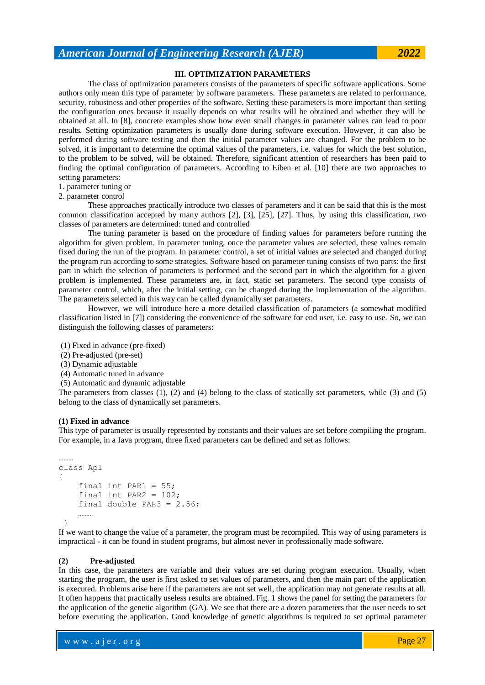### **III. OPTIMIZATION PARAMETERS**

The class of optimization parameters consists of the parameters of specific software applications. Some authors only mean this type of parameter by software parameters. These parameters are related to performance, security, robustness and other properties of the software. Setting these parameters is more important than setting the configuration ones because it usually depends on what results will be obtained and whether they will be obtained at all. In [8], concrete examples show how even small changes in parameter values can lead to poor results. Setting optimization parameters is usually done during software execution. However, it can also be performed during software testing and then the initial parameter values are changed. For the problem to be solved, it is important to determine the optimal values of the parameters, i.e. values for which the best solution, to the problem to be solved, will be obtained. Therefore, significant attention of researchers has been paid to finding the optimal configuration of parameters. According to Eiben et al. [10] there are two approaches to setting parameters:

- 1. parameter tuning or
- 2. parameter control

These approaches practically introduce two classes of parameters and it can be said that this is the most common classification accepted by many authors [2], [3], [25], [27]. Thus, by using this classification, two classes of parameters are determined: tuned and controlled

The tuning parameter is based on the procedure of finding values for parameters before running the algorithm for given problem. In parameter tuning, once the parameter values are selected, these values remain fixed during the run of the program. In parameter control, a set of initial values are selected and changed during the program run according to some strategies. Software based on parameter tuning consists of two parts: the first part in which the selection of parameters is performed and the second part in which the algorithm for a given problem is implemented. These parameters are, in fact, static set parameters. The second type consists of parameter control, which, after the initial setting, can be changed during the implementation of the algorithm. The parameters selected in this way can be called dynamically set parameters.

However, we will introduce here a more detailed classification of parameters (a somewhat modified classification listed in [7]) considering the convenience of the software for end user, i.e. easy to use. So, we can distinguish the following classes of parameters:

(1) Fixed in advance (pre-fixed)

- (2) Pre-adjusted (pre-set)
- (3) Dynamic adjustable
- (4) Automatic tuned in advance
- (5) Automatic and dynamic adjustable

The parameters from classes (1), (2) and (4) belong to the class of statically set parameters, while (3) and (5) belong to the class of dynamically set parameters.

#### **(1) Fixed in advance**

This type of parameter is usually represented by constants and their values are set before compiling the program. For example, in a Java program, three fixed parameters can be defined and set as follows:

```
……… 
class Apl 
{ 
    final int PAR1 = 55;
    final int PAR2 = 102;
    final double PAR3 = 2.56;
 ………
 }
```
If we want to change the value of a parameter, the program must be recompiled. This way of using parameters is impractical - it can be found in student programs, but almost never in professionally made software.

#### **(2) Pre-adjusted**

In this case, the parameters are variable and their values are set during program execution. Usually, when starting the program, the user is first asked to set values of parameters, and then the main part of the application is executed. Problems arise here if the parameters are not set well, the application may not generate results at all. It often happens that practically useless results are obtained. Fig. 1 shows the panel for setting the parameters for the application of the genetic algorithm (GA). We see that there are a dozen parameters that the user needs to set before executing the application. Good knowledge of genetic algorithms is required to set optimal parameter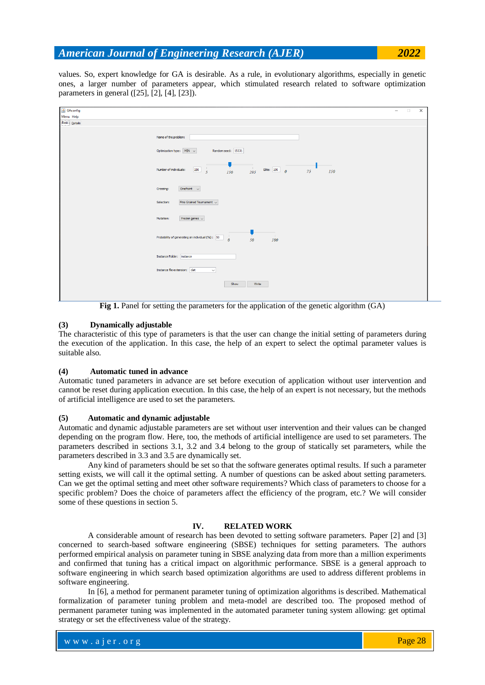values. So, expert knowledge for GA is desirable. As a rule, in evolutionary algorithms, especially in genetic ones, a larger number of parameters appear, which stimulated research related to software optimization parameters in general ([25], [2], [4], [23]).

| $\triangleq$ GAconfig | $\Box$<br>$\times$<br>$\overline{\phantom{a}}$                                                                 |
|-----------------------|----------------------------------------------------------------------------------------------------------------|
| Menu Help             |                                                                                                                |
| Basic Details         |                                                                                                                |
|                       | Name of the problem:<br>Optimization type: $MIN \sim$<br>Random seed: 15531                                    |
|                       | $\frac{1}{150}$<br>$295$ Elite: $\boxed{100}$ 0<br>$\frac{1}{5}$<br>Number of individuals:<br>150<br>75<br>150 |
|                       | OnePoint $\sim$<br>Crossing:                                                                                   |
|                       | Fine Grained Tournament $\sim$<br>Selection:                                                                   |
|                       | Frozen genes $\sim$<br>Mutation:                                                                               |
|                       | $\frac{1}{50}$<br>$\sim 1$<br>$\frac{1}{\theta}$<br>Probability of generating an individual (%): 50<br>100     |
|                       | Instance Folder: instance                                                                                      |
|                       | Instance file extension: dat<br>$\check{~}$                                                                    |
|                       | Show<br>Write                                                                                                  |

Fig 1. Panel for setting the parameters for the application of the genetic algorithm (GA)

## **(3) Dynamically adjustable**

The characteristic of this type of parameters is that the user can change the initial setting of parameters during the execution of the application. In this case, the help of an expert to select the optimal parameter values is suitable also.

### **(4) Automatic tuned in advance**

Automatic tuned parameters in advance are set before execution of application without user intervention and cannot be reset during application execution. In this case, the help of an expert is not necessary, but the methods of artificial intelligence are used to set the parameters.

## **(5) Automatic and dynamic adjustable**

Automatic and dynamic adjustable parameters are set without user intervention and their values can be changed depending on the program flow. Here, too, the methods of artificial intelligence are used to set parameters. The parameters described in sections 3.1, 3.2 and 3.4 belong to the group of statically set parameters, while the parameters described in 3.3 and 3.5 are dynamically set.

Any kind of parameters should be set so that the software generates optimal results. If such a parameter setting exists, we will call it the optimal setting. A number of questions can be asked about setting parameters. Can we get the optimal setting and meet other software requirements? Which class of parameters to choose for a specific problem? Does the choice of parameters affect the efficiency of the program, etc.? We will consider some of these questions in section 5.

## **IV. RELATED WORK**

A considerable amount of research has been devoted to setting software parameters. Paper [2] and [3] concerned to search-based software engineering (SBSE) techniques for setting parameters. The authors performed empirical analysis on parameter tuning in SBSE analyzing data from more than a million experiments and confirmed that tuning has a critical impact on algorithmic performance. SBSE is a general approach to software engineering in which search based optimization algorithms are used to address different problems in software engineering.

In [6], a method for permanent parameter tuning of optimization algorithms is described. Mathematical formalization of parameter tuning problem and meta-model are described too. The proposed method of permanent parameter tuning was implemented in the automated parameter tuning system allowing: get optimal strategy or set the effectiveness value of the strategy.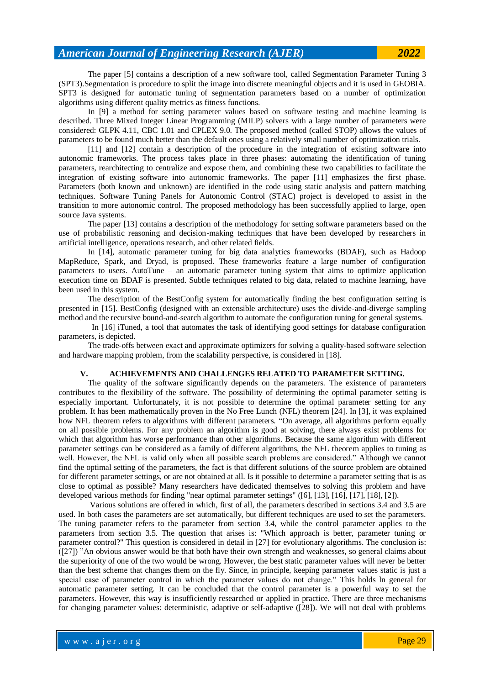The paper [5] contains a description of a new software tool, called Segmentation Parameter Tuning 3 (SPT3).Segmentation is procedure to split the image into discrete meaningful objects and it is used in GEOBIA. SPT3 is designed for automatic tuning of segmentation parameters based on a number of optimization algorithms using different quality metrics as fitness functions.

In [9] a method for setting parameter values based on software testing and machine learning is described. Three Mixed Integer Linear Programming (MILP) solvers with a large number of parameters were considered: GLPK 4.11, CBC 1.01 and CPLEX 9.0. The proposed method (called STOP) allows the values of parameters to be found much better than the default ones using a relatively small number of optimization trials.

[11] and [12] contain a description of the procedure in the integration of existing software into autonomic frameworks. The process takes place in three phases: automating the identification of tuning parameters, rearchitecting to centralize and expose them, and combining these two capabilities to facilitate the integration of existing software into autonomic frameworks. The paper [11] emphasizes the first phase. Parameters (both known and unknown) are identified in the code using static analysis and pattern matching techniques. Software Tuning Panels for Autonomic Control (STAC) project is developed to assist in the transition to more autonomic control. The proposed methodology has been successfully applied to large, open source Java systems.

The paper [13] contains a description of the methodology for setting software parameters based on the use of probabilistic reasoning and decision-making techniques that have been developed by researchers in artificial intelligence, operations research, and other related fields.

In [14], automatic parameter tuning for big data analytics frameworks (BDAF), such as Hadoop MapReduce, Spark, and Dryad, is proposed. These frameworks feature a large number of configuration parameters to users. AutoTune – an automatic parameter tuning system that aims to optimize application execution time on BDAF is presented. Subtle techniques related to big data, related to machine learning, have been used in this system.

The description of the BestConfig system for automatically finding the best configuration setting is presented in [15]. BestConfig (designed with an extensible architecture) uses the divide-and-diverge sampling method and the recursive bound-and-search algorithm to automate the configuration tuning for general systems.

 In [16] iTuned, a tool that automates the task of identifying good settings for database configuration parameters, is depicted.

The trade-offs between exact and approximate optimizers for solving a quality-based software selection and hardware mapping problem, from the scalability perspective, is considered in [18].

#### **V. ACHIEVEMENTS AND CHALLENGES RELATED TO PARAMETER SETTING.**

The quality of the software significantly depends on the parameters. The existence of parameters contributes to the flexibility of the software. The possibility of determining the optimal parameter setting is especially important. Unfortunately, it is not possible to determine the optimal parameter setting for any problem. It has been mathematically proven in the No Free Lunch (NFL) theorem [24]. In [3], it was explained how NFL theorem refers to algorithms with different parameters. "On average, all algorithms perform equally on all possible problems. For any problem an algorithm is good at solving, there always exist problems for which that algorithm has worse performance than other algorithms. Because the same algorithm with different parameter settings can be considered as a family of different algorithms, the NFL theorem applies to tuning as well. However, the NFL is valid only when all possible search problems are considered." Although we cannot find the optimal setting of the parameters, the fact is that different solutions of the source problem are obtained for different parameter settings, or are not obtained at all. Is it possible to determine a parameter setting that is as close to optimal as possible? Many researchers have dedicated themselves to solving this problem and have developed various methods for finding "near optimal parameter settings" ([6], [13], [16], [17], [18], [2]).

Various solutions are offered in which, first of all, the parameters described in sections 3.4 and 3.5 are used. In both cases the parameters are set automatically, but different techniques are used to set the parameters. The tuning parameter refers to the parameter from section 3.4, while the control parameter applies to the parameters from section 3.5. The question that arises is: "Which approach is better, parameter tuning or parameter control?" This question is considered in detail in [27] for evolutionary algorithms. The conclusion is: ([27]) "An obvious answer would be that both have their own strength and weaknesses, so general claims about the superiority of one of the two would be wrong. However, the best static parameter values will never be better than the best scheme that changes them on the fly. Since, in principle, keeping parameter values static is just a special case of parameter control in which the parameter values do not change." This holds ln general for automatic parameter setting. It can be concluded that the control parameter is a powerful way to set the parameters. However, this way is insufficiently researched or applied in practice. There are three mechanisms for changing parameter values: deterministic, adaptive or self-adaptive ([28]). We will not deal with problems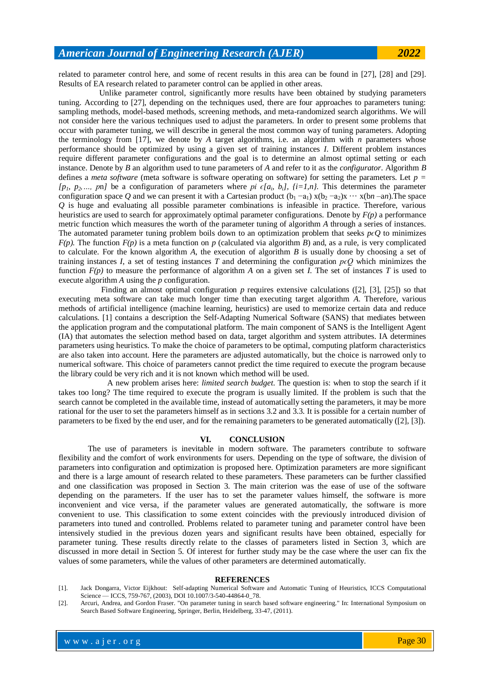related to parameter control here, and some of recent results in this area can be found in [27], [28] and [29]. Results of EA research related to parameter control can be applied in other areas.

 Unlike parameter control, significantly more results have been obtained by studying parameters tuning. According to [27], depending on the techniques used, there are four approaches to parameters tuning: sampling methods, model-based methods, screening methods, and meta-randomized search algorithms. We will not consider here the various techniques used to adjust the parameters. In order to present some problems that occur with parameter tuning, we will describe in general the most common way of tuning parameters. Adopting the terminology from [17], we denote by *A* target algorithms, i.e. an algorithm with *n* parameters whose performance should be optimized by using a given set of training instances *I*. Different problem instances require different parameter configurations and the goal is to determine an almost optimal setting or each instance. Denote by *B* an algorithm used to tune parameters of *A* and refer to it as the *configurator*. Algorithm *B* defines a *meta software* (meta software is software operating on software) for setting the parameters. Let *p = [p<sub>1</sub>, p<sub>2</sub>, ..., pn]* be a configuration of parameters where *pi*  $\epsilon[a_i, b_i]$ *, {i=1,n}*. This determines the parameter configuration space Q and we can present it with a Cartesian product  $(b_1 - a_1) x (b_2 - a_2) x \cdots x (bn - an)$ . The space *Q* is huge and evaluating all possible parameter combinations is infeasible in practice. Therefore, various heuristics are used to search for approximately optimal parameter configurations. Denote by *F(p)* a performance metric function which measures the worth of the parameter tuning of algorithm *A* through a series of instances. The automated parameter tuning problem boils down to an optimization problem that seeks  $p \epsilon Q$  to minimizes  $F(p)$ . The function  $F(p)$  is a meta function on *p* (calculated via algorithm *B*) and, as a rule, is very complicated to calculate. For the known algorithm *A*, the execution of algorithm *B* is usually done by choosing a set of training instances *I*, a set of testing instances *T* and determining the configuration  $p \epsilon Q$  which minimizes the function  $F(p)$  to measure the performance of algorithm *A* on a given set *I*. The set of instances *T* is used to execute algorithm *A* using the *p* configuration.

 Finding an almost optimal configuration *p* requires extensive calculations ([2], [3], [25]) so that executing meta software can take much longer time than executing target algorithm *A*. Therefore, various methods of artificial intelligence (machine learning, heuristics) are used to memorize certain data and reduce calculations. [1] contains a description the Self-Adapting Numerical Software (SANS) that mediates between the application program and the computational platform. The main component of SANS is the Intelligent Agent (IA) that automates the selection method based on data, target algorithm and system attributes. IA determines parameters using heuristics. To make the choice of parameters to be optimal, computing platform characteristics are also taken into account. Here the parameters are adjusted automatically, but the choice is narrowed only to numerical software. This choice of parameters cannot predict the time required to execute the program because the library could be very rich and it is not known which method will be used.

 A new problem arises here: *limited search budget*. The question is: when to stop the search if it takes too long? The time required to execute the program is usually limited. If the problem is such that the search cannot be completed in the available time, instead of automatically setting the parameters, it may be more rational for the user to set the parameters himself as in sections 3.2 and 3.3. It is possible for a certain number of parameters to be fixed by the end user, and for the remaining parameters to be generated automatically ([2], [3]).

#### **VI. CONCLUSION**

The use of parameters is inevitable in modern software. The parameters contribute to software flexibility and the comfort of work environments for users. Depending on the type of software, the division of parameters into configuration and optimization is proposed here. Optimization parameters are more significant and there is a large amount of research related to these parameters. These parameters can be further classified and one classification was proposed in Section 3. The main criterion was the ease of use of the software depending on the parameters. If the user has to set the parameter values himself, the software is more inconvenient and vice versa, if the parameter values are generated automatically, the software is more convenient to use. This classification to some extent coincides with the previously introduced division of parameters into tuned and controlled. Problems related to parameter tuning and parameter control have been intensively studied in the previous dozen years and significant results have been obtained, especially for parameter tuning. These results directly relate to the classes of parameters listed in Section 3, which are discussed in more detail in Section 5. Of interest for further study may be the case where the user can fix the values of some parameters, while the values of other parameters are determined automatically.

#### **REFERENCES**

[1]. Jack Dongarra, Victor Eijkhout: Self-adapting Numerical Software and Automatic Tuning of Heuristics, ICCS Computational Science — ICCS, 759-767, (2003), DOI 10.1007/3-540-44864-0\_78.

<sup>[2].</sup> Arcuri, Andrea, and Gordon Fraser. "On parameter tuning in search based software engineering." In: International Symposium on Search Based Software Engineering, Springer, Berlin, Heidelberg, 33-47, (2011).